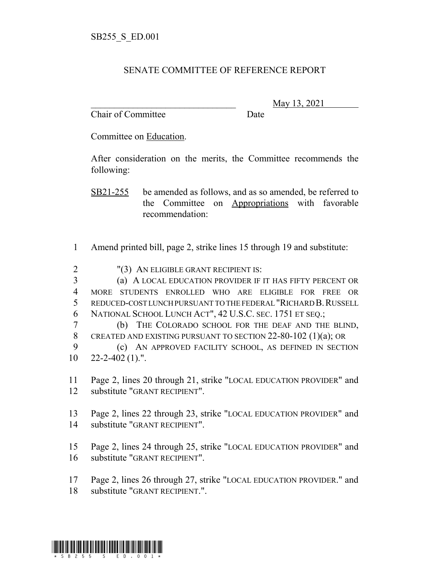## SENATE COMMITTEE OF REFERENCE REPORT

Chair of Committee Date

\_\_\_\_\_\_\_\_\_\_\_\_\_\_\_\_\_\_\_\_\_\_\_\_\_\_\_\_\_\_\_ May 13, 2021

Committee on Education.

After consideration on the merits, the Committee recommends the following:

SB21-255 be amended as follows, and as so amended, be referred to the Committee on Appropriations with favorable recommendation:

- Amend printed bill, page 2, strike lines 15 through 19 and substitute:
- "(3) AN ELIGIBLE GRANT RECIPIENT IS:
- (a) A LOCAL EDUCATION PROVIDER IF IT HAS FIFTY PERCENT OR MORE STUDENTS ENROLLED WHO ARE ELIGIBLE FOR FREE OR REDUCED-COST LUNCH PURSUANT TO THE FEDERAL "RICHARD B.RUSSELL NATIONAL SCHOOL LUNCH ACT", 42 U.S.C. SEC. 1751 ET SEQ.;
- (b) THE COLORADO SCHOOL FOR THE DEAF AND THE BLIND, CREATED AND EXISTING PURSUANT TO SECTION 22-80-102 (1)(a); OR
- (c) AN APPROVED FACILITY SCHOOL, AS DEFINED IN SECTION 22-2-402 (1).".
- Page 2, lines 20 through 21, strike "LOCAL EDUCATION PROVIDER" and substitute "GRANT RECIPIENT".
- Page 2, lines 22 through 23, strike "LOCAL EDUCATION PROVIDER" and substitute "GRANT RECIPIENT".
- Page 2, lines 24 through 25, strike "LOCAL EDUCATION PROVIDER" and substitute "GRANT RECIPIENT".
- Page 2, lines 26 through 27, strike "LOCAL EDUCATION PROVIDER." and substitute "GRANT RECIPIENT.".